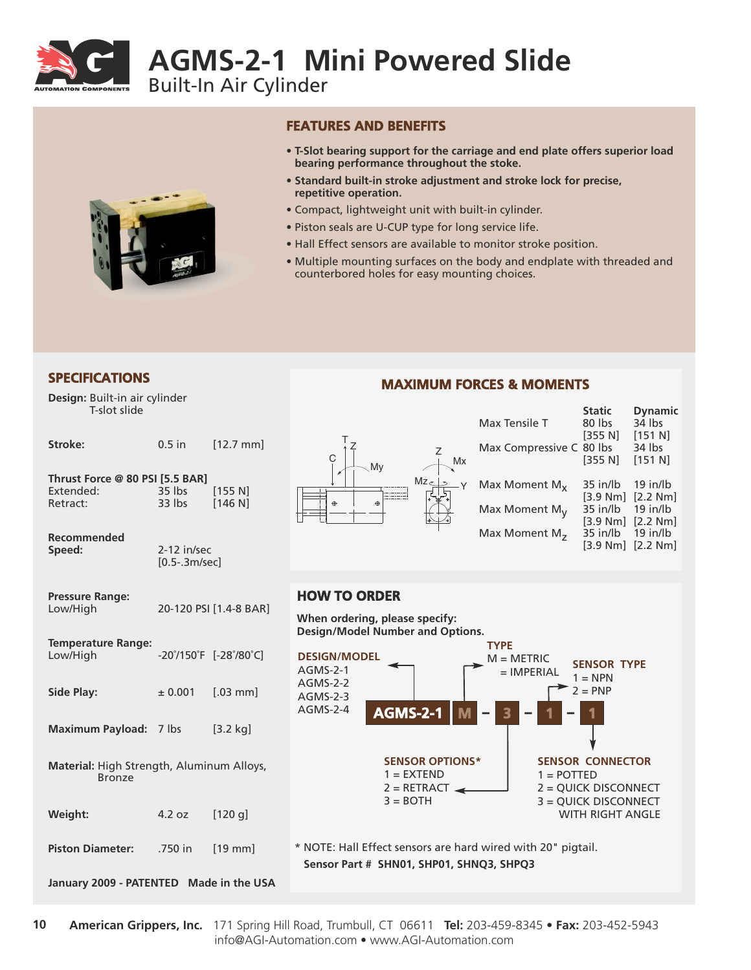

# **AGMS-2-1 Mini Powered Slide**

Built-In Air Cylinder



#### **FEATURES AND BENEFITS**

- **T-Slot bearing support for the carriage and end plate offers superior load bearing performance throughout the stoke.**
- **Standard built-in stroke adjustment and stroke lock for precise, repetitive operation.**
- Compact, lightweight unit with built-in cylinder.
- Piston seals are U-CUP type for long service life.
- Hall Effect sensors are available to monitor stroke position.
- Multiple mounting surfaces on the body and endplate with threaded and counterbored holes for easy mounting choices.

**Design:** Built-in air cylinder T-slot slide

| Stroke:                                                    | $0.5$ in                         | $[12.7$ mm             |  |  |
|------------------------------------------------------------|----------------------------------|------------------------|--|--|
| Thrust Force @ 80 PSI [5.5 BAR]<br>Extended:<br>Retract:   | 35 lbs<br>33 lbs [146 N]         | [155 N]                |  |  |
| Recommended<br>Speed:                                      | $2-12$ in/sec<br>$[0.5-.3m/sec]$ |                        |  |  |
| <b>Pressure Range:</b><br>Low/High                         |                                  | 20-120 PSI [1.4-8 BAR] |  |  |
| <b>Temperature Range:</b><br>Low/High                      | -20°/150°F [-28°/80°C]           |                        |  |  |
| <b>Side Play:</b>                                          | ± 0.001                          | $[.03$ mm]             |  |  |
| Maximum Payload: 7 lbs                                     |                                  | $[3.2 \text{ kg}]$     |  |  |
| Material: High Strength, Aluminum Alloys,<br><b>Bronze</b> |                                  |                        |  |  |
| Weight:                                                    | 4.2 oz                           | $[120$ g]              |  |  |
| <b>Piston Diameter:</b>                                    | .750 in                          | $[19$ mm               |  |  |
| January 2009 - PATENTED Made in the USA                    |                                  |                        |  |  |

#### Z Y T Z C My  $\leftarrow$ <sup>Mx</sup> Mz

## **MAXIMUM FORCES & MOMENTS SPECIFICATIONS**

|    |                          | <b>Static</b> | <b>Dynamic</b>      |
|----|--------------------------|---------------|---------------------|
|    | Max Tensile T            | 80 lbs        | 34 lbs              |
|    | Max Compressive C 80 lbs | [355 N]       | $[151 N]$<br>34 lbs |
| 1x |                          | [355 N]       | [151 N]             |
| ·Y | Max Moment $M_{x}$       | $35$ in/lb    | $19$ in/lb          |
|    |                          | [3.9 Nm]      | [2.2 Nm]            |
|    | Max Moment $M_V$         | 35 in/lb      | $19$ in/lb          |
|    |                          | [3.9 Nm]      | [2.2 Nm]            |
|    | Max Moment $M_{7}$       | 35 in/lb      | $19$ in/lb          |
|    |                          | [3.9 Nm]      | [2.2 Nm]            |
|    |                          |               |                     |

### **HOW TO ORDER**

**When ordering, please specify: Design/Model Number and Options.**



**Sensor Part # SHN01, SHP01, SHNQ3, SHPQ3**